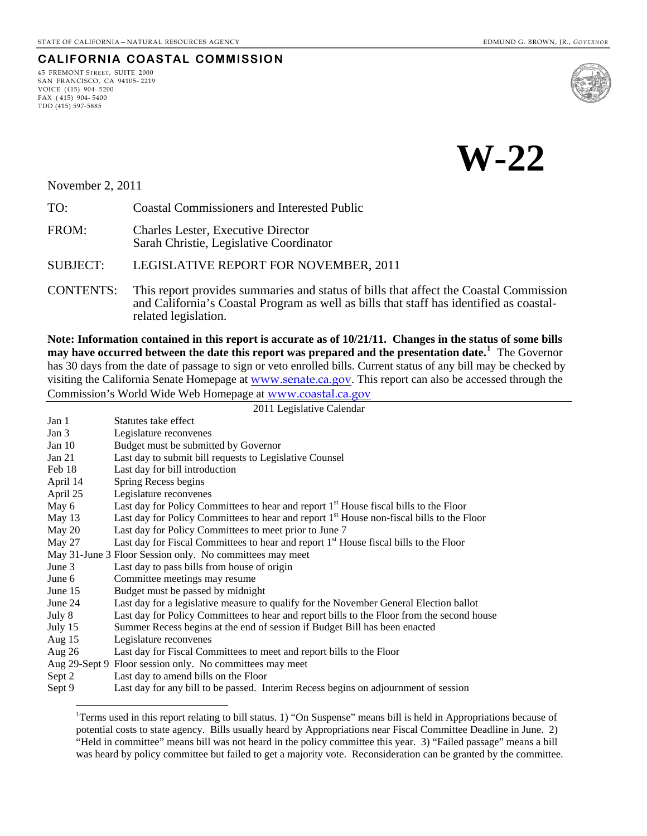**CALIFORNIA COASTAL COMMISSION** 45 FREMONT STREET, SUITE 2000 SAN FRANCISCO, CA 94105- 2219

VOICE (415) 904- 5200 FAX ( 415) 904- 5400 TDD (415) 597-5885



November 2, 2011

 $\overline{a}$ 

| TO:<br>Coastal Commissioners and Interested Public |
|----------------------------------------------------|
|----------------------------------------------------|

FROM: Charles Lester, Executive Director Sarah Christie, Legislative Coordinator

SUBJECT: LEGISLATIVE REPORT FOR NOVEMBER, 2011

CONTENTS: This report provides summaries and status of bills that affect the Coastal Commission and California's Coastal Program as well as bills that staff has identified as coastalrelated legislation.

**Note: Information contained in this report is accurate as of 10/21/11. Changes in the status of some bills may have occurred between the date this report was prepared and the presentation date.[1](#page-0-0)** The Governor has 30 days from the date of passage to sign or veto enrolled bills. Current status of any bill may be checked by visiting the California Senate Homepage at [www.senate.ca.gov](http://www.senate.ca.gov/). This report can also be accessed through the Commission's World Wide Web Homepage at [www.coastal.ca.gov](http://www.coastal.ca.gov/)

|          | 2011 Legislative Calendar                                                                             |
|----------|-------------------------------------------------------------------------------------------------------|
| Jan 1    | Statutes take effect                                                                                  |
| Jan 3    | Legislature reconvenes                                                                                |
| Jan $10$ | Budget must be submitted by Governor                                                                  |
| Jan 21   | Last day to submit bill requests to Legislative Counsel                                               |
| Feb 18   | Last day for bill introduction                                                                        |
| April 14 | Spring Recess begins                                                                                  |
| April 25 | Legislature reconvenes                                                                                |
| May 6    | Last day for Policy Committees to hear and report 1 <sup>st</sup> House fiscal bills to the Floor     |
| May 13   | Last day for Policy Committees to hear and report 1 <sup>st</sup> House non-fiscal bills to the Floor |
| May 20   | Last day for Policy Committees to meet prior to June 7                                                |
| May 27   | Last day for Fiscal Committees to hear and report 1 <sup>st</sup> House fiscal bills to the Floor     |
|          | May 31-June 3 Floor Session only. No committees may meet                                              |
| June 3   | Last day to pass bills from house of origin                                                           |
| June 6   | Committee meetings may resume                                                                         |
| June 15  | Budget must be passed by midnight                                                                     |
| June 24  | Last day for a legislative measure to qualify for the November General Election ballot                |
| July 8   | Last day for Policy Committees to hear and report bills to the Floor from the second house            |
| July 15  | Summer Recess begins at the end of session if Budget Bill has been enacted                            |
| Aug $15$ | Legislature reconvenes                                                                                |
| Aug $26$ | Last day for Fiscal Committees to meet and report bills to the Floor                                  |
|          | Aug 29-Sept 9 Floor session only. No committees may meet                                              |
| Sept 2   | Last day to amend bills on the Floor                                                                  |
| Sept 9   | Last day for any bill to be passed. Interim Recess begins on adjournment of session                   |

<span id="page-0-0"></span><sup>&</sup>lt;sup>1</sup>Terms used in this report relating to bill status. 1) "On Suspense" means bill is held in Appropriations because of potential costs to state agency. Bills usually heard by Appropriations near Fiscal Committee Deadline in June. 2) "Held in committee" means bill was not heard in the policy committee this year. 3) "Failed passage" means a bill was heard by policy committee but failed to get a majority vote. Reconsideration can be granted by the committee.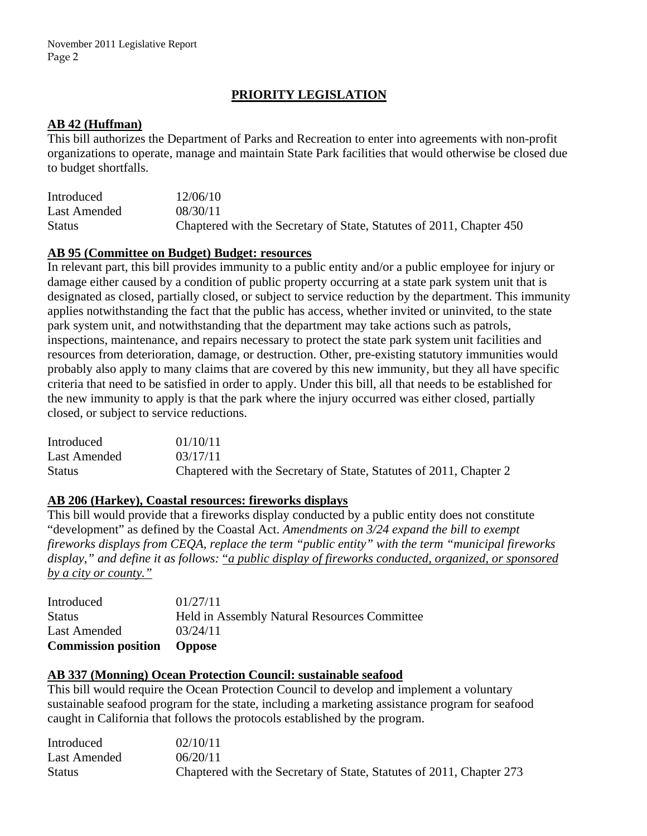## **PRIORITY LEGISLATION**

#### **AB 42 (Huffman)**

This bill authorizes the Department of Parks and Recreation to enter into agreements with non-profit organizations to operate, manage and maintain State Park facilities that would otherwise be closed due to budget shortfalls.

| Introduced    | 12/06/10                                                             |
|---------------|----------------------------------------------------------------------|
| Last Amended  | 08/30/11                                                             |
| <b>Status</b> | Chaptered with the Secretary of State, Statutes of 2011, Chapter 450 |

#### **AB 95 (Committee on Budget) Budget: resources**

In relevant part, this bill provides immunity to a public entity and/or a public employee for injury or damage either caused by a condition of public property occurring at a state park system unit that is designated as closed, partially closed, or subject to service reduction by the department. This immunity applies notwithstanding the fact that the public has access, whether invited or uninvited, to the state park system unit, and notwithstanding that the department may take actions such as patrols, inspections, maintenance, and repairs necessary to protect the state park system unit facilities and resources from deterioration, damage, or destruction. Other, pre-existing statutory immunities would probably also apply to many claims that are covered by this new immunity, but they all have specific criteria that need to be satisfied in order to apply. Under this bill, all that needs to be established for the new immunity to apply is that the park where the injury occurred was either closed, partially closed, or subject to service reductions.

| Introduced    | 01/10/11                                                           |
|---------------|--------------------------------------------------------------------|
| Last Amended  | 03/17/11                                                           |
| <b>Status</b> | Chaptered with the Secretary of State, Statutes of 2011, Chapter 2 |

#### **AB 206 (Harkey), Coastal resources: fireworks displays**

This bill would provide that a fireworks display conducted by a public entity does not constitute "development" as defined by the Coastal Act. *Amendments on 3/24 expand the bill to exempt fireworks displays from CEQA, replace the term "public entity" with the term "municipal fireworks display," and define it as follows:* "*a public display of fireworks conducted, organized, or sponsored by a city or county."*

| <b>Commission position</b> Oppose |                                                     |
|-----------------------------------|-----------------------------------------------------|
| Last Amended                      | 03/24/11                                            |
| <b>Status</b>                     | <b>Held in Assembly Natural Resources Committee</b> |
| Introduced                        | 01/27/11                                            |

#### **AB 337 (Monning) Ocean Protection Council: sustainable seafood**

This bill would require the Ocean Protection Council to develop and implement a voluntary sustainable seafood program for the state, including a marketing assistance program for seafood caught in California that follows the protocols established by the program.

| Introduced    | 02/10/11                                                             |
|---------------|----------------------------------------------------------------------|
| Last Amended  | 06/20/11                                                             |
| <b>Status</b> | Chaptered with the Secretary of State, Statutes of 2011, Chapter 273 |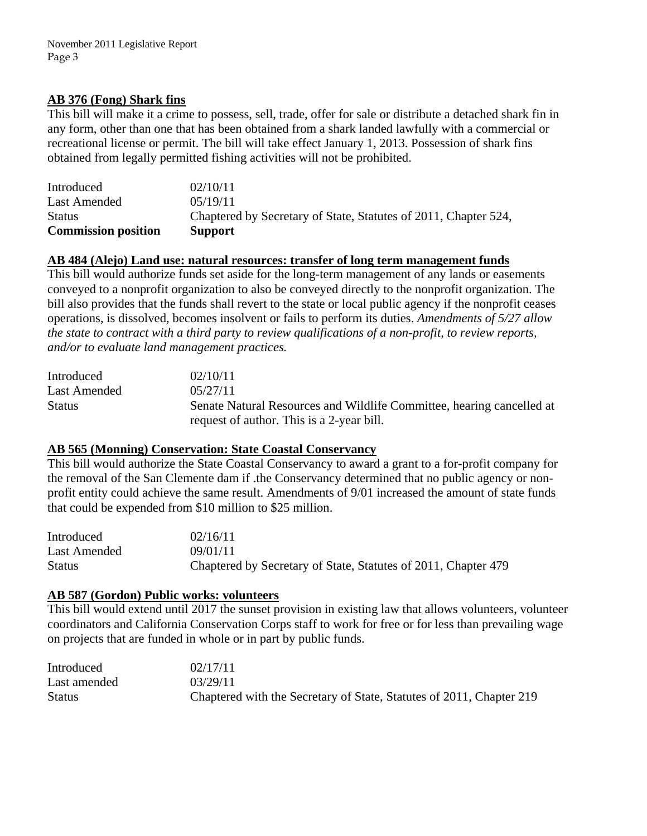## **AB 376 (Fong) Shark fins**

This bill will make it a crime to possess, sell, trade, offer for sale or distribute a detached shark fin in any form, other than one that has been obtained from a shark landed lawfully with a commercial or recreational license or permit. The bill will take effect January 1, 2013. Possession of shark fins obtained from legally permitted fishing activities will not be prohibited.

| <b>Commission position</b> | <b>Support</b>                                                  |
|----------------------------|-----------------------------------------------------------------|
| <b>Status</b>              | Chaptered by Secretary of State, Statutes of 2011, Chapter 524, |
| Last Amended               | 0.5/19/11                                                       |
| Introduced                 | 02/10/11                                                        |

### **AB 484 (Alejo) Land use: natural resources: transfer of long term management funds**

This bill would authorize funds set aside for the long-term management of any lands or easements conveyed to a nonprofit organization to also be conveyed directly to the nonprofit organization. The bill also provides that the funds shall revert to the state or local public agency if the nonprofit ceases operations, is dissolved, becomes insolvent or fails to perform its duties. *Amendments of 5/27 allow the state to contract with a third party to review qualifications of a non-profit, to review reports, and/or to evaluate land management practices.* 

| Introduced    | 02/10/11                                                              |
|---------------|-----------------------------------------------------------------------|
| Last Amended  | 0.5/27/11                                                             |
| <b>Status</b> | Senate Natural Resources and Wildlife Committee, hearing cancelled at |
|               | request of author. This is a 2-year bill.                             |

## **AB 565 (Monning) Conservation: State Coastal Conservancy**

This bill would authorize the State Coastal Conservancy to award a grant to a for-profit company for the removal of the San Clemente dam if .the Conservancy determined that no public agency or nonprofit entity could achieve the same result. Amendments of 9/01 increased the amount of state funds that could be expended from \$10 million to \$25 million.

| Introduced    | 02/16/11                                                       |
|---------------|----------------------------------------------------------------|
| Last Amended  | 09/01/11                                                       |
| <b>Status</b> | Chaptered by Secretary of State, Statutes of 2011, Chapter 479 |

## **AB 587 (Gordon) Public works: volunteers**

This bill would extend until 2017 the sunset provision in existing law that allows volunteers, volunteer coordinators and California Conservation Corps staff to work for free or for less than prevailing wage on projects that are funded in whole or in part by public funds.

| Introduced    | 02/17/11                                                             |
|---------------|----------------------------------------------------------------------|
| Last amended  | 03/29/11                                                             |
| <b>Status</b> | Chaptered with the Secretary of State, Statutes of 2011, Chapter 219 |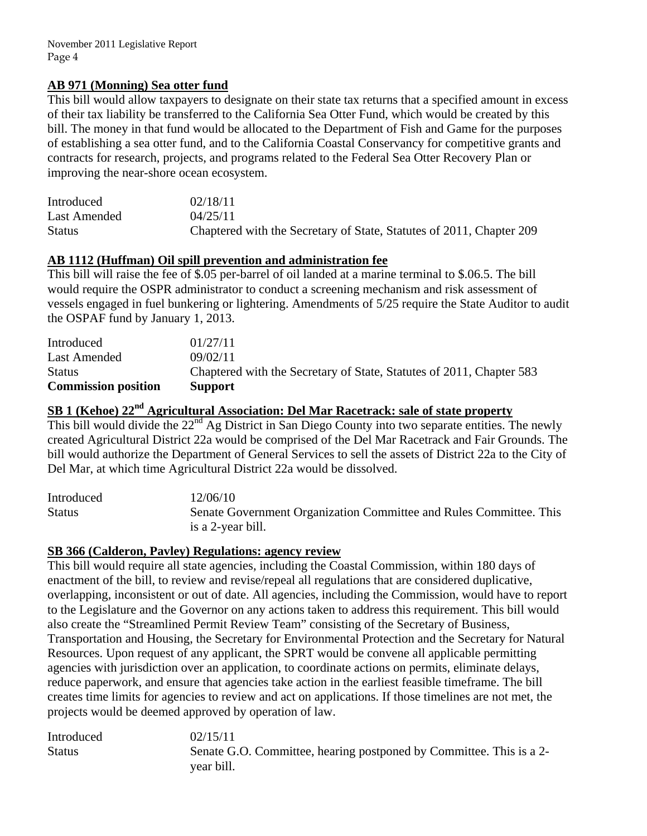November 2011 Legislative Report Page 4

### **AB 971 (Monning) Sea otter fund**

This bill would allow taxpayers to designate on their state tax returns that a specified amount in excess of their tax liability be transferred to the California Sea Otter Fund, which would be created by this bill. The money in that fund would be allocated to the Department of Fish and Game for the purposes of establishing a sea otter fund, and to the California Coastal Conservancy for competitive grants and contracts for research, projects, and programs related to the Federal Sea Otter Recovery Plan or improving the near-shore ocean ecosystem.

| Introduced    | 02/18/11                                                             |
|---------------|----------------------------------------------------------------------|
| Last Amended  | 04/25/11                                                             |
| <b>Status</b> | Chaptered with the Secretary of State, Statutes of 2011, Chapter 209 |

### **AB 1112 (Huffman) Oil spill prevention and administration fee**

This bill will raise the fee of \$.05 per-barrel of oil landed at a marine terminal to \$.06.5. The bill would require the OSPR administrator to conduct a screening mechanism and risk assessment of vessels engaged in fuel bunkering or lightering. Amendments of 5/25 require the State Auditor to audit the OSPAF fund by January 1, 2013.

| <b>Commission position</b> | <b>Support</b>                                                       |
|----------------------------|----------------------------------------------------------------------|
| <b>Status</b>              | Chaptered with the Secretary of State, Statutes of 2011, Chapter 583 |
| Last Amended               | 09/02/11                                                             |
| Introduced                 | 01/27/11                                                             |

# **SB 1 (Kehoe) 22nd Agricultural Association: Del Mar Racetrack: sale of state property**

This bill would divide the 22<sup>nd</sup> Ag District in San Diego County into two separate entities. The newly created Agricultural District 22a would be comprised of the Del Mar Racetrack and Fair Grounds. The bill would authorize the Department of General Services to sell the assets of District 22a to the City of Del Mar, at which time Agricultural District 22a would be dissolved.

Introduced 12/06/10 Status Senate Government Organization Committee and Rules Committee. This is a 2-year bill.

### **SB 366 (Calderon, Pavley) Regulations: agency review**

This bill would require all state agencies, including the Coastal Commission, within 180 days of enactment of the bill, to review and revise/repeal all regulations that are considered duplicative, overlapping, inconsistent or out of date. All agencies, including the Commission, would have to report to the Legislature and the Governor on any actions taken to address this requirement. This bill would also create the "Streamlined Permit Review Team" consisting of the Secretary of Business, Transportation and Housing, the Secretary for Environmental Protection and the Secretary for Natural Resources. Upon request of any applicant, the SPRT would be convene all applicable permitting agencies with jurisdiction over an application, to coordinate actions on permits, eliminate delays, reduce paperwork, and ensure that agencies take action in the earliest feasible timeframe. The bill creates time limits for agencies to review and act on applications. If those timelines are not met, the projects would be deemed approved by operation of law.

| Introduced    | 02/15/11                                                            |
|---------------|---------------------------------------------------------------------|
| <b>Status</b> | Senate G.O. Committee, hearing postponed by Committee. This is a 2- |
|               | year bill.                                                          |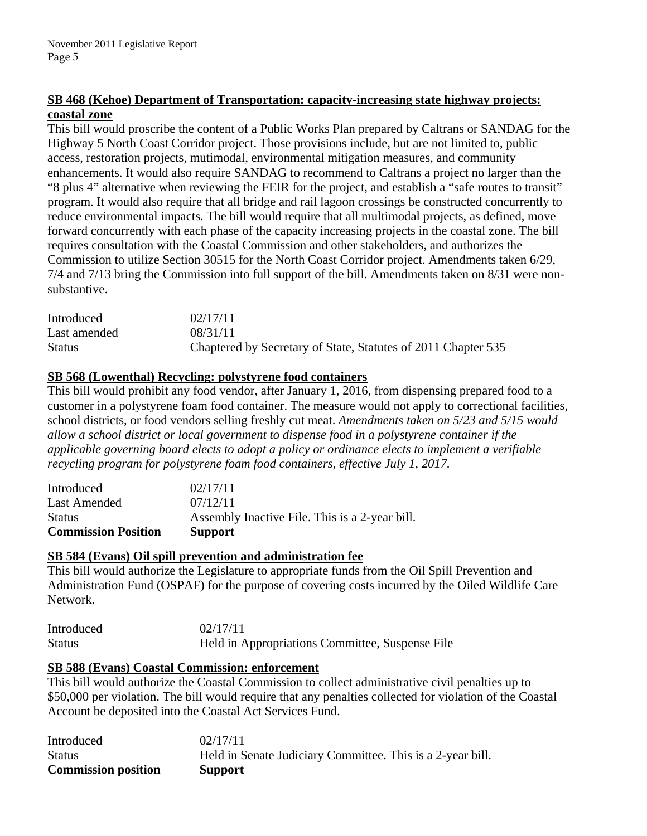## **SB 468 (Kehoe) Department of Transportation: capacity-increasing state highway projects: coastal zone**

This bill would proscribe the content of a Public Works Plan prepared by Caltrans or SANDAG for the Highway 5 North Coast Corridor project. Those provisions include, but are not limited to, public access, restoration projects, mutimodal, environmental mitigation measures, and community enhancements. It would also require SANDAG to recommend to Caltrans a project no larger than the "8 plus 4" alternative when reviewing the FEIR for the project, and establish a "safe routes to transit" program. It would also require that all bridge and rail lagoon crossings be constructed concurrently to reduce environmental impacts. The bill would require that all multimodal projects, as defined, move forward concurrently with each phase of the capacity increasing projects in the coastal zone. The bill requires consultation with the Coastal Commission and other stakeholders, and authorizes the Commission to utilize Section 30515 for the North Coast Corridor project. Amendments taken 6/29, 7/4 and 7/13 bring the Commission into full support of the bill. Amendments taken on 8/31 were nonsubstantive.

| Introduced    | 02/17/11                                                      |
|---------------|---------------------------------------------------------------|
| Last amended  | 08/31/11                                                      |
| <b>Status</b> | Chaptered by Secretary of State, Statutes of 2011 Chapter 535 |

## **SB 568 (Lowenthal) Recycling: polystyrene food containers**

This bill would prohibit any food vendor, after January 1, 2016, from dispensing prepared food to a customer in a polystyrene foam food container. The measure would not apply to correctional facilities, school districts, or food vendors selling freshly cut meat. *Amendments taken on 5/23 and 5/15 would allow a school district or local government to dispense food in a polystyrene container if the applicable governing board elects to adopt a policy or ordinance elects to implement a verifiable recycling program for polystyrene foam food containers, effective July 1, 2017.* 

| Introduced                 | 02/17/11                                       |
|----------------------------|------------------------------------------------|
| Last Amended               | 07/12/11                                       |
| <b>Status</b>              | Assembly Inactive File. This is a 2-year bill. |
| <b>Commission Position</b> | <b>Support</b>                                 |

## **SB 584 (Evans) Oil spill prevention and administration fee**

This bill would authorize the Legislature to appropriate funds from the Oil Spill Prevention and Administration Fund (OSPAF) for the purpose of covering costs incurred by the Oiled Wildlife Care Network.

Introduced 02/17/11 Status Held in Appropriations Committee, Suspense File

#### **SB 588 (Evans) Coastal Commission: enforcement**

This bill would authorize the Coastal Commission to collect administrative civil penalties up to \$50,000 per violation. The bill would require that any penalties collected for violation of the Coastal Account be deposited into the Coastal Act Services Fund.

| Introduced                 | 02/17/11                                                   |
|----------------------------|------------------------------------------------------------|
| <b>Status</b>              | Held in Senate Judiciary Committee. This is a 2-year bill. |
| <b>Commission position</b> | <b>Support</b>                                             |